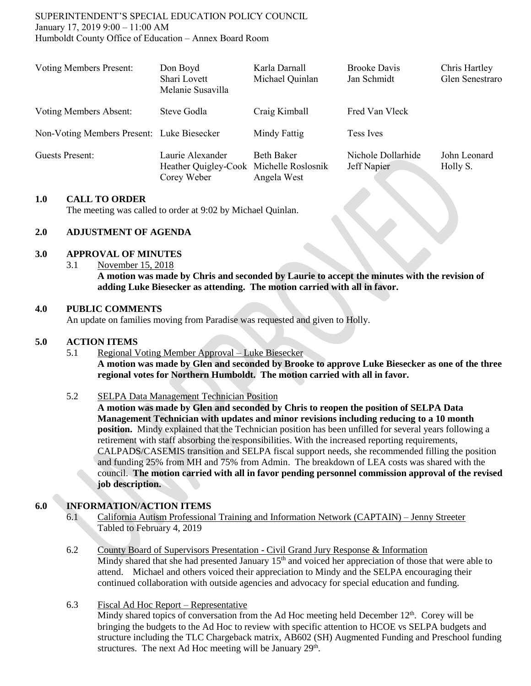#### SUPERINTENDENT'S SPECIAL EDUCATION POLICY COUNCIL January 17, 2019 9:00 – 11:00 AM Humboldt County Office of Education – Annex Board Room

| <b>Voting Members Present:</b>             | Don Boyd<br>Shari Lovett<br>Melanie Susavilla                              | Karla Darnall<br>Michael Quinlan | <b>Brooke Davis</b><br>Jan Schmidt | Chris Hartley<br>Glen Senestraro |
|--------------------------------------------|----------------------------------------------------------------------------|----------------------------------|------------------------------------|----------------------------------|
| Voting Members Absent:                     | Steve Godla                                                                | Craig Kimball                    | Fred Van Vleck                     |                                  |
| Non-Voting Members Present: Luke Biesecker |                                                                            | Mindy Fattig                     | <b>Tess Ives</b>                   |                                  |
| Guests Present:                            | Laurie Alexander<br>Heather Quigley-Cook Michelle Roslosnik<br>Corey Weber | <b>Beth Baker</b><br>Angela West | Nichole Dollarhide<br>Jeff Napier  | John Leonard<br>Holly S.         |

#### **1.0 CALL TO ORDER**

The meeting was called to order at 9:02 by Michael Quinlan.

### **2.0 ADJUSTMENT OF AGENDA**

### **3.0 APPROVAL OF MINUTES**

3.1 November 15, 2018

**A motion was made by Chris and seconded by Laurie to accept the minutes with the revision of adding Luke Biesecker as attending. The motion carried with all in favor.**

### **4.0 PUBLIC COMMENTS**

An update on families moving from Paradise was requested and given to Holly.

### **5.0 ACTION ITEMS**

- 5.1 Regional Voting Member Approval Luke Biesecker **A motion was made by Glen and seconded by Brooke to approve Luke Biesecker as one of the three regional votes for Northern Humboldt. The motion carried with all in favor.**
- 5.2 SELPA Data Management Technician Position

**A motion was made by Glen and seconded by Chris to reopen the position of SELPA Data Management Technician with updates and minor revisions including reducing to a 10 month position.** Mindy explained that the Technician position has been unfilled for several years following a retirement with staff absorbing the responsibilities. With the increased reporting requirements, CALPADS/CASEMIS transition and SELPA fiscal support needs, she recommended filling the position and funding 25% from MH and 75% from Admin. The breakdown of LEA costs was shared with the council. **The motion carried with all in favor pending personnel commission approval of the revised job description.** 

## **6.0 INFORMATION/ACTION ITEMS**

- 6.1 California Autism Professional Training and Information Network (CAPTAIN) Jenny Streeter Tabled to February 4, 2019
- 6.2 County Board of Supervisors Presentation Civil Grand Jury Response & Information Mindy shared that she had presented January 15<sup>th</sup> and voiced her appreciation of those that were able to attend. Michael and others voiced their appreciation to Mindy and the SELPA encouraging their continued collaboration with outside agencies and advocacy for special education and funding.
- 6.3 Fiscal Ad Hoc Report Representative

Mindy shared topics of conversation from the Ad Hoc meeting held December  $12<sup>th</sup>$ . Corey will be bringing the budgets to the Ad Hoc to review with specific attention to HCOE vs SELPA budgets and structure including the TLC Chargeback matrix, AB602 (SH) Augmented Funding and Preschool funding structures. The next Ad Hoc meeting will be January 29<sup>th</sup>.